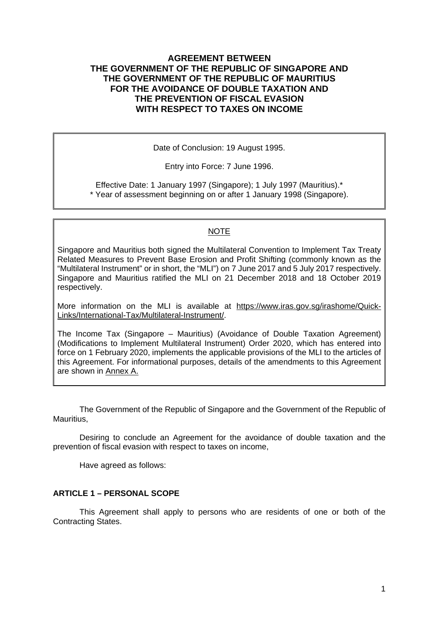## **AGREEMENT BETWEEN THE GOVERNMENT OF THE REPUBLIC OF SINGAPORE AND THE GOVERNMENT OF THE REPUBLIC OF MAURITIUS FOR THE AVOIDANCE OF DOUBLE TAXATION AND THE PREVENTION OF FISCAL EVASION WITH RESPECT TO TAXES ON INCOME**

Date of Conclusion: 19 August 1995.

Entry into Force: 7 June 1996.

Effective Date: 1 January 1997 (Singapore); 1 July 1997 (Mauritius).\* \* Year of assessment beginning on or after 1 January 1998 (Singapore).

## NOTE

Singapore and Mauritius both signed the Multilateral Convention to Implement Tax Treaty Related Measures to Prevent Base Erosion and Profit Shifting (commonly known as the "Multilateral Instrument" or in short, the "MLI") on 7 June 2017 and 5 July 2017 respectively. Singapore and Mauritius ratified the MLI on 21 December 2018 and 18 October 2019 respectively.

More information on the MLI is available at [https://www.iras.gov.sg/irashome/Quick-](https://www.iras.gov.sg/irashome/Quick-Links/International-Tax/Multilateral-Instrument/)[Links/International-Tax/Multilateral-Instrument/.](https://www.iras.gov.sg/irashome/Quick-Links/International-Tax/Multilateral-Instrument/)

The Income Tax (Singapore – Mauritius) (Avoidance of Double Taxation Agreement) (Modifications to Implement Multilateral Instrument) Order 2020, which has entered into force on 1 February 2020, implements the applicable provisions of the MLI to the articles of this Agreement. For informational purposes, details of the amendments to this Agreement are shown in Annex A.

The Government of the Republic of Singapore and the Government of the Republic of Mauritius,

Desiring to conclude an Agreement for the avoidance of double taxation and the prevention of fiscal evasion with respect to taxes on income,

Have agreed as follows:

#### **ARTICLE 1 – PERSONAL SCOPE**

This Agreement shall apply to persons who are residents of one or both of the Contracting States.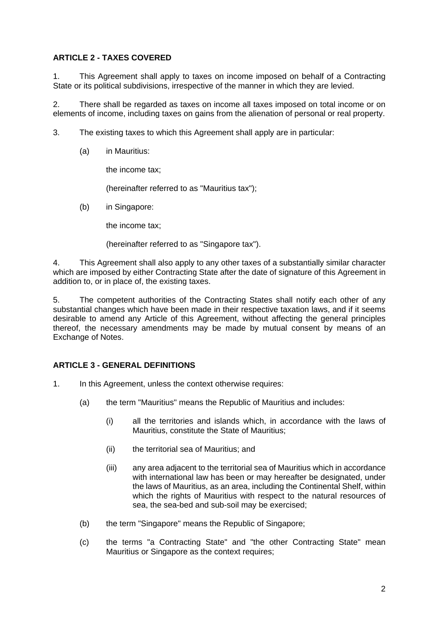## **ARTICLE 2 - TAXES COVERED**

1. This Agreement shall apply to taxes on income imposed on behalf of a Contracting State or its political subdivisions, irrespective of the manner in which they are levied.

2. There shall be regarded as taxes on income all taxes imposed on total income or on elements of income, including taxes on gains from the alienation of personal or real property.

3. The existing taxes to which this Agreement shall apply are in particular:

(a) in Mauritius:

the income tax;

(hereinafter referred to as "Mauritius tax");

(b) in Singapore:

the income tax;

(hereinafter referred to as "Singapore tax").

4. This Agreement shall also apply to any other taxes of a substantially similar character which are imposed by either Contracting State after the date of signature of this Agreement in addition to, or in place of, the existing taxes.

5. The competent authorities of the Contracting States shall notify each other of any substantial changes which have been made in their respective taxation laws, and if it seems desirable to amend any Article of this Agreement, without affecting the general principles thereof, the necessary amendments may be made by mutual consent by means of an Exchange of Notes.

#### **ARTICLE 3 - GENERAL DEFINITIONS**

- 1. In this Agreement, unless the context otherwise requires:
	- (a) the term "Mauritius" means the Republic of Mauritius and includes:
		- (i) all the territories and islands which, in accordance with the laws of Mauritius, constitute the State of Mauritius;
		- (ii) the territorial sea of Mauritius; and
		- (iii) any area adjacent to the territorial sea of Mauritius which in accordance with international law has been or may hereafter be designated, under the laws of Mauritius, as an area, including the Continental Shelf, within which the rights of Mauritius with respect to the natural resources of sea, the sea-bed and sub-soil may be exercised;
	- (b) the term "Singapore" means the Republic of Singapore;
	- (c) the terms "a Contracting State" and "the other Contracting State" mean Mauritius or Singapore as the context requires;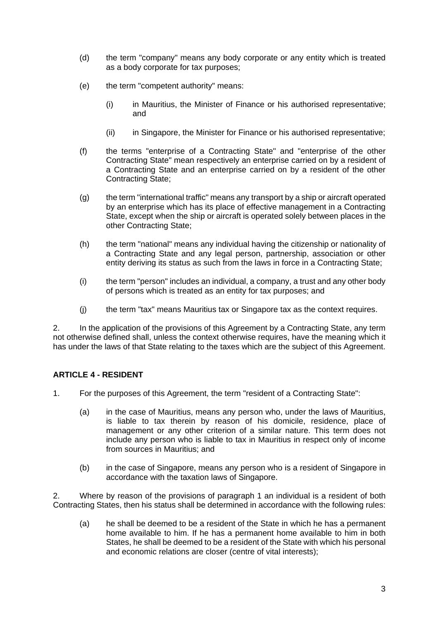- (d) the term "company" means any body corporate or any entity which is treated as a body corporate for tax purposes;
- (e) the term "competent authority" means:
	- (i) in Mauritius, the Minister of Finance or his authorised representative; and
	- (ii) in Singapore, the Minister for Finance or his authorised representative;
- (f) the terms "enterprise of a Contracting State" and "enterprise of the other Contracting State" mean respectively an enterprise carried on by a resident of a Contracting State and an enterprise carried on by a resident of the other Contracting State;
- (g) the term "international traffic" means any transport by a ship or aircraft operated by an enterprise which has its place of effective management in a Contracting State, except when the ship or aircraft is operated solely between places in the other Contracting State;
- (h) the term "national" means any individual having the citizenship or nationality of a Contracting State and any legal person, partnership, association or other entity deriving its status as such from the laws in force in a Contracting State;
- (i) the term "person" includes an individual, a company, a trust and any other body of persons which is treated as an entity for tax purposes; and
- (j) the term "tax" means Mauritius tax or Singapore tax as the context requires.

2. In the application of the provisions of this Agreement by a Contracting State, any term not otherwise defined shall, unless the context otherwise requires, have the meaning which it has under the laws of that State relating to the taxes which are the subject of this Agreement.

## **ARTICLE 4 - RESIDENT**

- 1. For the purposes of this Agreement, the term "resident of a Contracting State":
	- (a) in the case of Mauritius, means any person who, under the laws of Mauritius, is liable to tax therein by reason of his domicile, residence, place of management or any other criterion of a similar nature. This term does not include any person who is liable to tax in Mauritius in respect only of income from sources in Mauritius; and
	- (b) in the case of Singapore, means any person who is a resident of Singapore in accordance with the taxation laws of Singapore.

2. Where by reason of the provisions of paragraph 1 an individual is a resident of both Contracting States, then his status shall be determined in accordance with the following rules:

(a) he shall be deemed to be a resident of the State in which he has a permanent home available to him. If he has a permanent home available to him in both States, he shall be deemed to be a resident of the State with which his personal and economic relations are closer (centre of vital interests);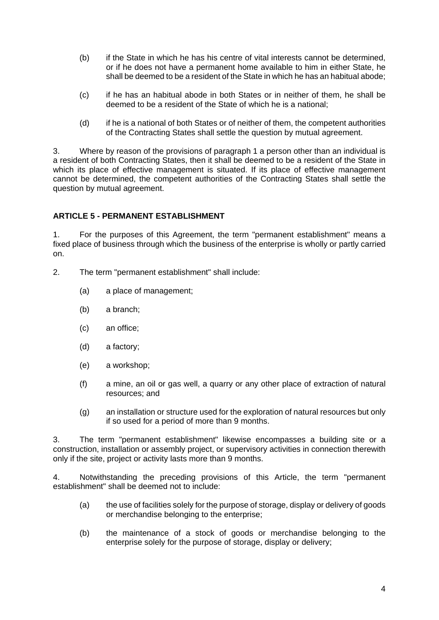- (b) if the State in which he has his centre of vital interests cannot be determined, or if he does not have a permanent home available to him in either State, he shall be deemed to be a resident of the State in which he has an habitual abode;
- (c) if he has an habitual abode in both States or in neither of them, he shall be deemed to be a resident of the State of which he is a national;
- (d) if he is a national of both States or of neither of them, the competent authorities of the Contracting States shall settle the question by mutual agreement.

3. Where by reason of the provisions of paragraph 1 a person other than an individual is a resident of both Contracting States, then it shall be deemed to be a resident of the State in which its place of effective management is situated. If its place of effective management cannot be determined, the competent authorities of the Contracting States shall settle the question by mutual agreement.

## **ARTICLE 5 - PERMANENT ESTABLISHMENT**

1. For the purposes of this Agreement, the term "permanent establishment" means a fixed place of business through which the business of the enterprise is wholly or partly carried on.

- 2. The term "permanent establishment" shall include:
	- (a) a place of management;
	- (b) a branch;
	- (c) an office;
	- (d) a factory;
	- (e) a workshop;
	- (f) a mine, an oil or gas well, a quarry or any other place of extraction of natural resources; and
	- (g) an installation or structure used for the exploration of natural resources but only if so used for a period of more than 9 months.

3. The term "permanent establishment" likewise encompasses a building site or a construction, installation or assembly project, or supervisory activities in connection therewith only if the site, project or activity lasts more than 9 months.

4. Notwithstanding the preceding provisions of this Article, the term "permanent establishment" shall be deemed not to include:

- (a) the use of facilities solely for the purpose of storage, display or delivery of goods or merchandise belonging to the enterprise;
- (b) the maintenance of a stock of goods or merchandise belonging to the enterprise solely for the purpose of storage, display or delivery;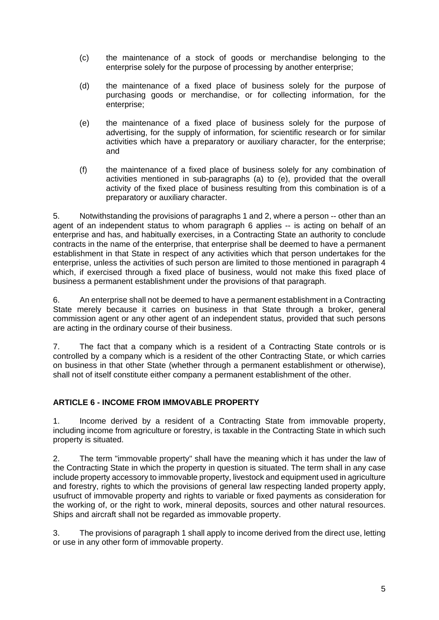- (c) the maintenance of a stock of goods or merchandise belonging to the enterprise solely for the purpose of processing by another enterprise;
- (d) the maintenance of a fixed place of business solely for the purpose of purchasing goods or merchandise, or for collecting information, for the enterprise;
- (e) the maintenance of a fixed place of business solely for the purpose of advertising, for the supply of information, for scientific research or for similar activities which have a preparatory or auxiliary character, for the enterprise; and
- (f) the maintenance of a fixed place of business solely for any combination of activities mentioned in sub-paragraphs (a) to (e), provided that the overall activity of the fixed place of business resulting from this combination is of a preparatory or auxiliary character.

5. Notwithstanding the provisions of paragraphs 1 and 2, where a person -- other than an agent of an independent status to whom paragraph 6 applies -- is acting on behalf of an enterprise and has, and habitually exercises, in a Contracting State an authority to conclude contracts in the name of the enterprise, that enterprise shall be deemed to have a permanent establishment in that State in respect of any activities which that person undertakes for the enterprise, unless the activities of such person are limited to those mentioned in paragraph 4 which, if exercised through a fixed place of business, would not make this fixed place of business a permanent establishment under the provisions of that paragraph.

6. An enterprise shall not be deemed to have a permanent establishment in a Contracting State merely because it carries on business in that State through a broker, general commission agent or any other agent of an independent status, provided that such persons are acting in the ordinary course of their business.

7. The fact that a company which is a resident of a Contracting State controls or is controlled by a company which is a resident of the other Contracting State, or which carries on business in that other State (whether through a permanent establishment or otherwise), shall not of itself constitute either company a permanent establishment of the other.

## **ARTICLE 6 - INCOME FROM IMMOVABLE PROPERTY**

1. Income derived by a resident of a Contracting State from immovable property, including income from agriculture or forestry, is taxable in the Contracting State in which such property is situated.

2. The term "immovable property" shall have the meaning which it has under the law of the Contracting State in which the property in question is situated. The term shall in any case include property accessory to immovable property, livestock and equipment used in agriculture and forestry, rights to which the provisions of general law respecting landed property apply, usufruct of immovable property and rights to variable or fixed payments as consideration for the working of, or the right to work, mineral deposits, sources and other natural resources. Ships and aircraft shall not be regarded as immovable property.

3. The provisions of paragraph 1 shall apply to income derived from the direct use, letting or use in any other form of immovable property.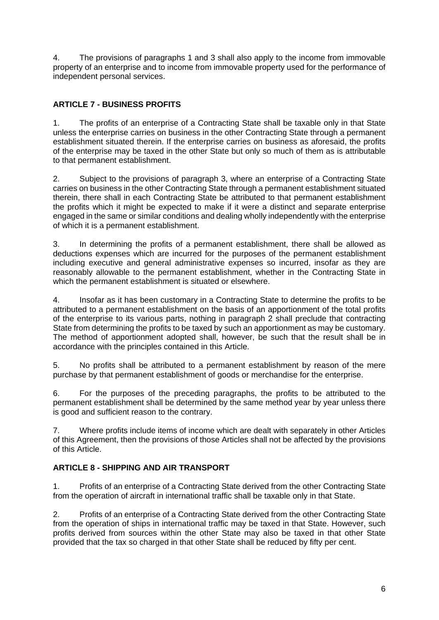4. The provisions of paragraphs 1 and 3 shall also apply to the income from immovable property of an enterprise and to income from immovable property used for the performance of independent personal services.

# **ARTICLE 7 - BUSINESS PROFITS**

1. The profits of an enterprise of a Contracting State shall be taxable only in that State unless the enterprise carries on business in the other Contracting State through a permanent establishment situated therein. If the enterprise carries on business as aforesaid, the profits of the enterprise may be taxed in the other State but only so much of them as is attributable to that permanent establishment.

2. Subject to the provisions of paragraph 3, where an enterprise of a Contracting State carries on business in the other Contracting State through a permanent establishment situated therein, there shall in each Contracting State be attributed to that permanent establishment the profits which it might be expected to make if it were a distinct and separate enterprise engaged in the same or similar conditions and dealing wholly independently with the enterprise of which it is a permanent establishment.

3. In determining the profits of a permanent establishment, there shall be allowed as deductions expenses which are incurred for the purposes of the permanent establishment including executive and general administrative expenses so incurred, insofar as they are reasonably allowable to the permanent establishment, whether in the Contracting State in which the permanent establishment is situated or elsewhere.

4. Insofar as it has been customary in a Contracting State to determine the profits to be attributed to a permanent establishment on the basis of an apportionment of the total profits of the enterprise to its various parts, nothing in paragraph 2 shall preclude that contracting State from determining the profits to be taxed by such an apportionment as may be customary. The method of apportionment adopted shall, however, be such that the result shall be in accordance with the principles contained in this Article.

5. No profits shall be attributed to a permanent establishment by reason of the mere purchase by that permanent establishment of goods or merchandise for the enterprise.

6. For the purposes of the preceding paragraphs, the profits to be attributed to the permanent establishment shall be determined by the same method year by year unless there is good and sufficient reason to the contrary.

7. Where profits include items of income which are dealt with separately in other Articles of this Agreement, then the provisions of those Articles shall not be affected by the provisions of this Article.

# **ARTICLE 8 - SHIPPING AND AIR TRANSPORT**

1. Profits of an enterprise of a Contracting State derived from the other Contracting State from the operation of aircraft in international traffic shall be taxable only in that State.

2. Profits of an enterprise of a Contracting State derived from the other Contracting State from the operation of ships in international traffic may be taxed in that State. However, such profits derived from sources within the other State may also be taxed in that other State provided that the tax so charged in that other State shall be reduced by fifty per cent.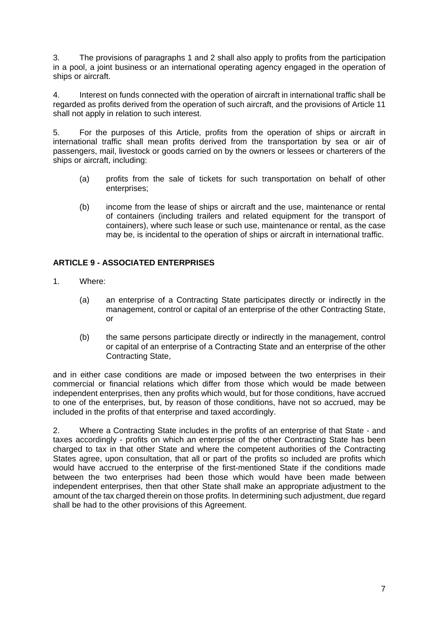3. The provisions of paragraphs 1 and 2 shall also apply to profits from the participation in a pool, a joint business or an international operating agency engaged in the operation of ships or aircraft.

4. Interest on funds connected with the operation of aircraft in international traffic shall be regarded as profits derived from the operation of such aircraft, and the provisions of Article 11 shall not apply in relation to such interest.

5. For the purposes of this Article, profits from the operation of ships or aircraft in international traffic shall mean profits derived from the transportation by sea or air of passengers, mail, livestock or goods carried on by the owners or lessees or charterers of the ships or aircraft, including:

- (a) profits from the sale of tickets for such transportation on behalf of other enterprises;
- (b) income from the lease of ships or aircraft and the use, maintenance or rental of containers (including trailers and related equipment for the transport of containers), where such lease or such use, maintenance or rental, as the case may be, is incidental to the operation of ships or aircraft in international traffic.

## **ARTICLE 9 - ASSOCIATED ENTERPRISES**

- 1. Where:
	- (a) an enterprise of a Contracting State participates directly or indirectly in the management, control or capital of an enterprise of the other Contracting State, or
	- (b) the same persons participate directly or indirectly in the management, control or capital of an enterprise of a Contracting State and an enterprise of the other Contracting State,

and in either case conditions are made or imposed between the two enterprises in their commercial or financial relations which differ from those which would be made between independent enterprises, then any profits which would, but for those conditions, have accrued to one of the enterprises, but, by reason of those conditions, have not so accrued, may be included in the profits of that enterprise and taxed accordingly.

2. Where a Contracting State includes in the profits of an enterprise of that State - and taxes accordingly - profits on which an enterprise of the other Contracting State has been charged to tax in that other State and where the competent authorities of the Contracting States agree, upon consultation, that all or part of the profits so included are profits which would have accrued to the enterprise of the first-mentioned State if the conditions made between the two enterprises had been those which would have been made between independent enterprises, then that other State shall make an appropriate adjustment to the amount of the tax charged therein on those profits. In determining such adjustment, due regard shall be had to the other provisions of this Agreement.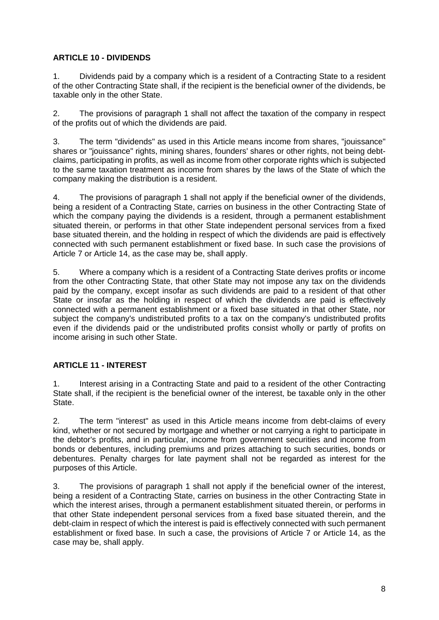## **ARTICLE 10 - DIVIDENDS**

1. Dividends paid by a company which is a resident of a Contracting State to a resident of the other Contracting State shall, if the recipient is the beneficial owner of the dividends, be taxable only in the other State.

2. The provisions of paragraph 1 shall not affect the taxation of the company in respect of the profits out of which the dividends are paid.

3. The term "dividends" as used in this Article means income from shares, "jouissance" shares or "jouissance" rights, mining shares, founders' shares or other rights, not being debtclaims, participating in profits, as well as income from other corporate rights which is subjected to the same taxation treatment as income from shares by the laws of the State of which the company making the distribution is a resident.

4. The provisions of paragraph 1 shall not apply if the beneficial owner of the dividends, being a resident of a Contracting State, carries on business in the other Contracting State of which the company paying the dividends is a resident, through a permanent establishment situated therein, or performs in that other State independent personal services from a fixed base situated therein, and the holding in respect of which the dividends are paid is effectively connected with such permanent establishment or fixed base. In such case the provisions of Article 7 or Article 14, as the case may be, shall apply.

5. Where a company which is a resident of a Contracting State derives profits or income from the other Contracting State, that other State may not impose any tax on the dividends paid by the company, except insofar as such dividends are paid to a resident of that other State or insofar as the holding in respect of which the dividends are paid is effectively connected with a permanent establishment or a fixed base situated in that other State, nor subject the company's undistributed profits to a tax on the company's undistributed profits even if the dividends paid or the undistributed profits consist wholly or partly of profits on income arising in such other State.

## **ARTICLE 11 - INTEREST**

1. Interest arising in a Contracting State and paid to a resident of the other Contracting State shall, if the recipient is the beneficial owner of the interest, be taxable only in the other State.

2. The term "interest" as used in this Article means income from debt-claims of every kind, whether or not secured by mortgage and whether or not carrying a right to participate in the debtor's profits, and in particular, income from government securities and income from bonds or debentures, including premiums and prizes attaching to such securities, bonds or debentures. Penalty charges for late payment shall not be regarded as interest for the purposes of this Article.

3. The provisions of paragraph 1 shall not apply if the beneficial owner of the interest, being a resident of a Contracting State, carries on business in the other Contracting State in which the interest arises, through a permanent establishment situated therein, or performs in that other State independent personal services from a fixed base situated therein, and the debt-claim in respect of which the interest is paid is effectively connected with such permanent establishment or fixed base. In such a case, the provisions of Article 7 or Article 14, as the case may be, shall apply.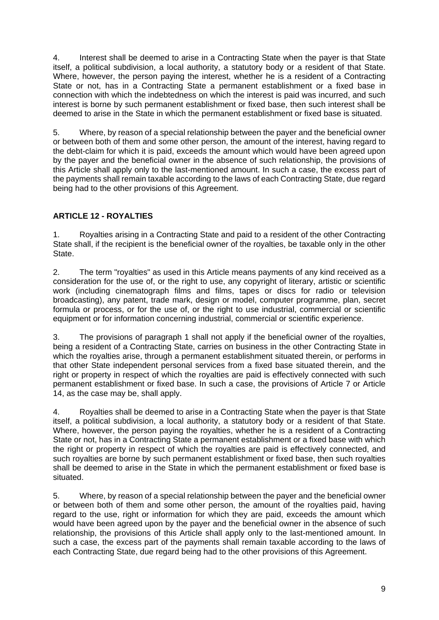4. Interest shall be deemed to arise in a Contracting State when the payer is that State itself, a political subdivision, a local authority, a statutory body or a resident of that State. Where, however, the person paying the interest, whether he is a resident of a Contracting State or not, has in a Contracting State a permanent establishment or a fixed base in connection with which the indebtedness on which the interest is paid was incurred, and such interest is borne by such permanent establishment or fixed base, then such interest shall be deemed to arise in the State in which the permanent establishment or fixed base is situated.

5. Where, by reason of a special relationship between the payer and the beneficial owner or between both of them and some other person, the amount of the interest, having regard to the debt-claim for which it is paid, exceeds the amount which would have been agreed upon by the payer and the beneficial owner in the absence of such relationship, the provisions of this Article shall apply only to the last-mentioned amount. In such a case, the excess part of the payments shall remain taxable according to the laws of each Contracting State, due regard being had to the other provisions of this Agreement.

# **ARTICLE 12 - ROYALTIES**

1. Royalties arising in a Contracting State and paid to a resident of the other Contracting State shall, if the recipient is the beneficial owner of the royalties, be taxable only in the other State.

2. The term "royalties" as used in this Article means payments of any kind received as a consideration for the use of, or the right to use, any copyright of literary, artistic or scientific work (including cinematograph films and films, tapes or discs for radio or television broadcasting), any patent, trade mark, design or model, computer programme, plan, secret formula or process, or for the use of, or the right to use industrial, commercial or scientific equipment or for information concerning industrial, commercial or scientific experience.

3. The provisions of paragraph 1 shall not apply if the beneficial owner of the royalties, being a resident of a Contracting State, carries on business in the other Contracting State in which the royalties arise, through a permanent establishment situated therein, or performs in that other State independent personal services from a fixed base situated therein, and the right or property in respect of which the royalties are paid is effectively connected with such permanent establishment or fixed base. In such a case, the provisions of Article 7 or Article 14, as the case may be, shall apply.

4. Royalties shall be deemed to arise in a Contracting State when the payer is that State itself, a political subdivision, a local authority, a statutory body or a resident of that State. Where, however, the person paying the royalties, whether he is a resident of a Contracting State or not, has in a Contracting State a permanent establishment or a fixed base with which the right or property in respect of which the royalties are paid is effectively connected, and such royalties are borne by such permanent establishment or fixed base, then such royalties shall be deemed to arise in the State in which the permanent establishment or fixed base is situated.

5. Where, by reason of a special relationship between the payer and the beneficial owner or between both of them and some other person, the amount of the royalties paid, having regard to the use, right or information for which they are paid, exceeds the amount which would have been agreed upon by the payer and the beneficial owner in the absence of such relationship, the provisions of this Article shall apply only to the last-mentioned amount. In such a case, the excess part of the payments shall remain taxable according to the laws of each Contracting State, due regard being had to the other provisions of this Agreement.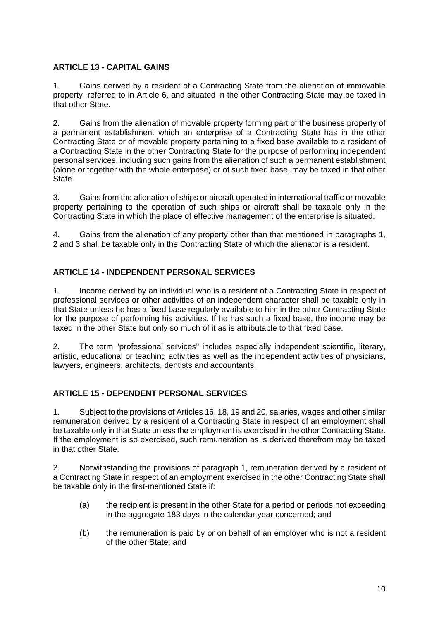# **ARTICLE 13 - CAPITAL GAINS**

1. Gains derived by a resident of a Contracting State from the alienation of immovable property, referred to in Article 6, and situated in the other Contracting State may be taxed in that other State.

2. Gains from the alienation of movable property forming part of the business property of a permanent establishment which an enterprise of a Contracting State has in the other Contracting State or of movable property pertaining to a fixed base available to a resident of a Contracting State in the other Contracting State for the purpose of performing independent personal services, including such gains from the alienation of such a permanent establishment (alone or together with the whole enterprise) or of such fixed base, may be taxed in that other State.

3. Gains from the alienation of ships or aircraft operated in international traffic or movable property pertaining to the operation of such ships or aircraft shall be taxable only in the Contracting State in which the place of effective management of the enterprise is situated.

4. Gains from the alienation of any property other than that mentioned in paragraphs 1, 2 and 3 shall be taxable only in the Contracting State of which the alienator is a resident.

## **ARTICLE 14 - INDEPENDENT PERSONAL SERVICES**

1. Income derived by an individual who is a resident of a Contracting State in respect of professional services or other activities of an independent character shall be taxable only in that State unless he has a fixed base regularly available to him in the other Contracting State for the purpose of performing his activities. If he has such a fixed base, the income may be taxed in the other State but only so much of it as is attributable to that fixed base.

2. The term "professional services" includes especially independent scientific, literary, artistic, educational or teaching activities as well as the independent activities of physicians, lawyers, engineers, architects, dentists and accountants.

## **ARTICLE 15 - DEPENDENT PERSONAL SERVICES**

1. Subject to the provisions of Articles 16, 18, 19 and 20, salaries, wages and other similar remuneration derived by a resident of a Contracting State in respect of an employment shall be taxable only in that State unless the employment is exercised in the other Contracting State. If the employment is so exercised, such remuneration as is derived therefrom may be taxed in that other State.

2. Notwithstanding the provisions of paragraph 1, remuneration derived by a resident of a Contracting State in respect of an employment exercised in the other Contracting State shall be taxable only in the first-mentioned State if:

- (a) the recipient is present in the other State for a period or periods not exceeding in the aggregate 183 days in the calendar year concerned; and
- (b) the remuneration is paid by or on behalf of an employer who is not a resident of the other State; and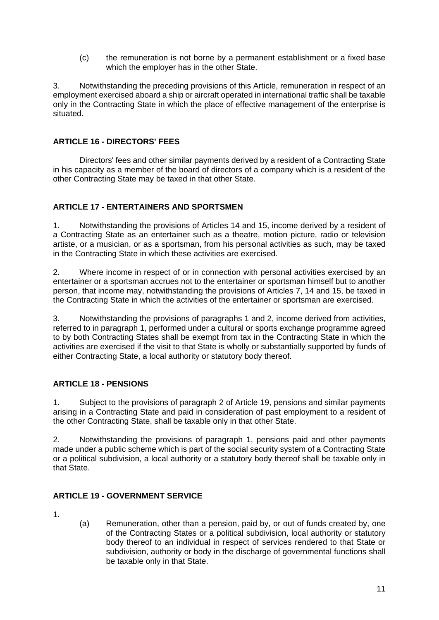(c) the remuneration is not borne by a permanent establishment or a fixed base which the employer has in the other State.

3. Notwithstanding the preceding provisions of this Article, remuneration in respect of an employment exercised aboard a ship or aircraft operated in international traffic shall be taxable only in the Contracting State in which the place of effective management of the enterprise is situated.

## **ARTICLE 16 - DIRECTORS' FEES**

Directors' fees and other similar payments derived by a resident of a Contracting State in his capacity as a member of the board of directors of a company which is a resident of the other Contracting State may be taxed in that other State.

## **ARTICLE 17 - ENTERTAINERS AND SPORTSMEN**

1. Notwithstanding the provisions of Articles 14 and 15, income derived by a resident of a Contracting State as an entertainer such as a theatre, motion picture, radio or television artiste, or a musician, or as a sportsman, from his personal activities as such, may be taxed in the Contracting State in which these activities are exercised.

2. Where income in respect of or in connection with personal activities exercised by an entertainer or a sportsman accrues not to the entertainer or sportsman himself but to another person, that income may, notwithstanding the provisions of Articles 7, 14 and 15, be taxed in the Contracting State in which the activities of the entertainer or sportsman are exercised.

3. Notwithstanding the provisions of paragraphs 1 and 2, income derived from activities, referred to in paragraph 1, performed under a cultural or sports exchange programme agreed to by both Contracting States shall be exempt from tax in the Contracting State in which the activities are exercised if the visit to that State is wholly or substantially supported by funds of either Contracting State, a local authority or statutory body thereof.

#### **ARTICLE 18 - PENSIONS**

1. Subject to the provisions of paragraph 2 of Article 19, pensions and similar payments arising in a Contracting State and paid in consideration of past employment to a resident of the other Contracting State, shall be taxable only in that other State.

2. Notwithstanding the provisions of paragraph 1, pensions paid and other payments made under a public scheme which is part of the social security system of a Contracting State or a political subdivision, a local authority or a statutory body thereof shall be taxable only in that State.

#### **ARTICLE 19 - GOVERNMENT SERVICE**

1.

(a) Remuneration, other than a pension, paid by, or out of funds created by, one of the Contracting States or a political subdivision, local authority or statutory body thereof to an individual in respect of services rendered to that State or subdivision, authority or body in the discharge of governmental functions shall be taxable only in that State.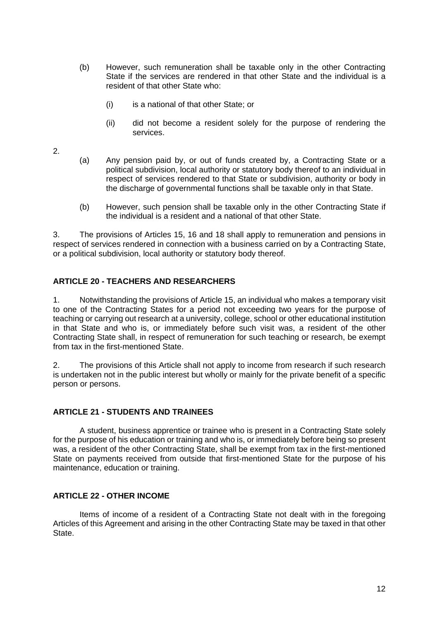- (b) However, such remuneration shall be taxable only in the other Contracting State if the services are rendered in that other State and the individual is a resident of that other State who:
	- (i) is a national of that other State; or
	- (ii) did not become a resident solely for the purpose of rendering the services.
- 2.
- (a) Any pension paid by, or out of funds created by, a Contracting State or a political subdivision, local authority or statutory body thereof to an individual in respect of services rendered to that State or subdivision, authority or body in the discharge of governmental functions shall be taxable only in that State.
- (b) However, such pension shall be taxable only in the other Contracting State if the individual is a resident and a national of that other State.

3. The provisions of Articles 15, 16 and 18 shall apply to remuneration and pensions in respect of services rendered in connection with a business carried on by a Contracting State, or a political subdivision, local authority or statutory body thereof.

## **ARTICLE 20 - TEACHERS AND RESEARCHERS**

1. Notwithstanding the provisions of Article 15, an individual who makes a temporary visit to one of the Contracting States for a period not exceeding two years for the purpose of teaching or carrying out research at a university, college, school or other educational institution in that State and who is, or immediately before such visit was, a resident of the other Contracting State shall, in respect of remuneration for such teaching or research, be exempt from tax in the first-mentioned State.

2. The provisions of this Article shall not apply to income from research if such research is undertaken not in the public interest but wholly or mainly for the private benefit of a specific person or persons.

#### **ARTICLE 21 - STUDENTS AND TRAINEES**

A student, business apprentice or trainee who is present in a Contracting State solely for the purpose of his education or training and who is, or immediately before being so present was, a resident of the other Contracting State, shall be exempt from tax in the first-mentioned State on payments received from outside that first-mentioned State for the purpose of his maintenance, education or training.

## **ARTICLE 22 - OTHER INCOME**

Items of income of a resident of a Contracting State not dealt with in the foregoing Articles of this Agreement and arising in the other Contracting State may be taxed in that other State.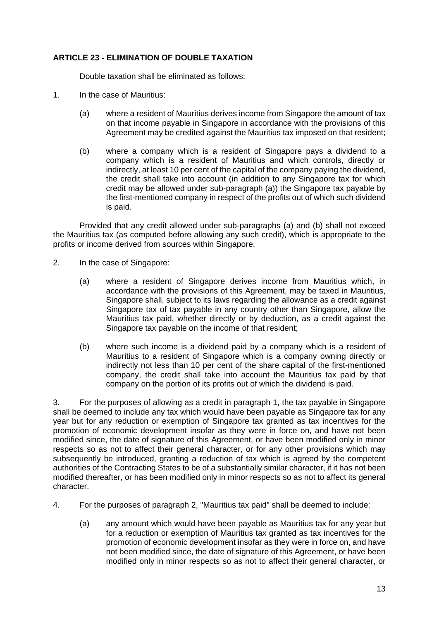## **ARTICLE 23 - ELIMINATION OF DOUBLE TAXATION**

Double taxation shall be eliminated as follows:

- 1. In the case of Mauritius:
	- (a) where a resident of Mauritius derives income from Singapore the amount of tax on that income payable in Singapore in accordance with the provisions of this Agreement may be credited against the Mauritius tax imposed on that resident;
	- (b) where a company which is a resident of Singapore pays a dividend to a company which is a resident of Mauritius and which controls, directly or indirectly, at least 10 per cent of the capital of the company paying the dividend, the credit shall take into account (in addition to any Singapore tax for which credit may be allowed under sub-paragraph (a)) the Singapore tax payable by the first-mentioned company in respect of the profits out of which such dividend is paid.

Provided that any credit allowed under sub-paragraphs (a) and (b) shall not exceed the Mauritius tax (as computed before allowing any such credit), which is appropriate to the profits or income derived from sources within Singapore.

- 2. In the case of Singapore:
	- (a) where a resident of Singapore derives income from Mauritius which, in accordance with the provisions of this Agreement, may be taxed in Mauritius, Singapore shall, subject to its laws regarding the allowance as a credit against Singapore tax of tax payable in any country other than Singapore, allow the Mauritius tax paid, whether directly or by deduction, as a credit against the Singapore tax payable on the income of that resident;
	- (b) where such income is a dividend paid by a company which is a resident of Mauritius to a resident of Singapore which is a company owning directly or indirectly not less than 10 per cent of the share capital of the first-mentioned company, the credit shall take into account the Mauritius tax paid by that company on the portion of its profits out of which the dividend is paid.

3. For the purposes of allowing as a credit in paragraph 1, the tax payable in Singapore shall be deemed to include any tax which would have been payable as Singapore tax for any year but for any reduction or exemption of Singapore tax granted as tax incentives for the promotion of economic development insofar as they were in force on, and have not been modified since, the date of signature of this Agreement, or have been modified only in minor respects so as not to affect their general character, or for any other provisions which may subsequently be introduced, granting a reduction of tax which is agreed by the competent authorities of the Contracting States to be of a substantially similar character, if it has not been modified thereafter, or has been modified only in minor respects so as not to affect its general character.

- 4. For the purposes of paragraph 2, "Mauritius tax paid" shall be deemed to include:
	- (a) any amount which would have been payable as Mauritius tax for any year but for a reduction or exemption of Mauritius tax granted as tax incentives for the promotion of economic development insofar as they were in force on, and have not been modified since, the date of signature of this Agreement, or have been modified only in minor respects so as not to affect their general character, or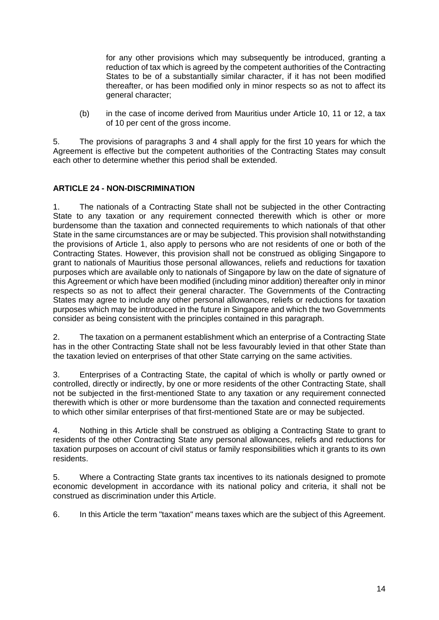for any other provisions which may subsequently be introduced, granting a reduction of tax which is agreed by the competent authorities of the Contracting States to be of a substantially similar character, if it has not been modified thereafter, or has been modified only in minor respects so as not to affect its general character;

(b) in the case of income derived from Mauritius under Article 10, 11 or 12, a tax of 10 per cent of the gross income.

5. The provisions of paragraphs 3 and 4 shall apply for the first 10 years for which the Agreement is effective but the competent authorities of the Contracting States may consult each other to determine whether this period shall be extended.

## **ARTICLE 24 - NON-DISCRIMINATION**

1. The nationals of a Contracting State shall not be subjected in the other Contracting State to any taxation or any requirement connected therewith which is other or more burdensome than the taxation and connected requirements to which nationals of that other State in the same circumstances are or may be subjected. This provision shall notwithstanding the provisions of Article 1, also apply to persons who are not residents of one or both of the Contracting States. However, this provision shall not be construed as obliging Singapore to grant to nationals of Mauritius those personal allowances, reliefs and reductions for taxation purposes which are available only to nationals of Singapore by law on the date of signature of this Agreement or which have been modified (including minor addition) thereafter only in minor respects so as not to affect their general character. The Governments of the Contracting States may agree to include any other personal allowances, reliefs or reductions for taxation purposes which may be introduced in the future in Singapore and which the two Governments consider as being consistent with the principles contained in this paragraph.

2. The taxation on a permanent establishment which an enterprise of a Contracting State has in the other Contracting State shall not be less favourably levied in that other State than the taxation levied on enterprises of that other State carrying on the same activities.

3. Enterprises of a Contracting State, the capital of which is wholly or partly owned or controlled, directly or indirectly, by one or more residents of the other Contracting State, shall not be subjected in the first-mentioned State to any taxation or any requirement connected therewith which is other or more burdensome than the taxation and connected requirements to which other similar enterprises of that first-mentioned State are or may be subjected.

4. Nothing in this Article shall be construed as obliging a Contracting State to grant to residents of the other Contracting State any personal allowances, reliefs and reductions for taxation purposes on account of civil status or family responsibilities which it grants to its own residents.

5. Where a Contracting State grants tax incentives to its nationals designed to promote economic development in accordance with its national policy and criteria, it shall not be construed as discrimination under this Article.

6. In this Article the term "taxation" means taxes which are the subject of this Agreement.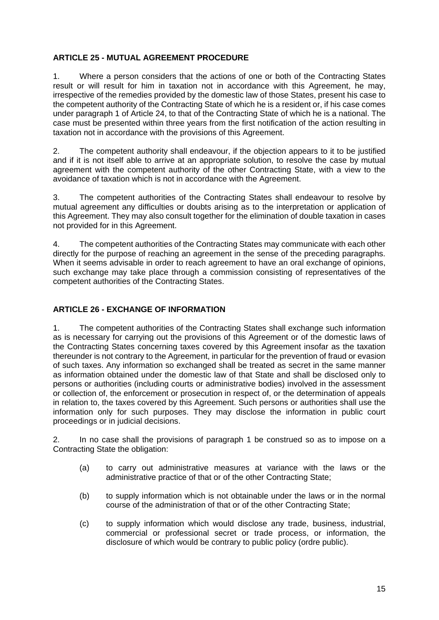## **ARTICLE 25 - MUTUAL AGREEMENT PROCEDURE**

1. Where a person considers that the actions of one or both of the Contracting States result or will result for him in taxation not in accordance with this Agreement, he may, irrespective of the remedies provided by the domestic law of those States, present his case to the competent authority of the Contracting State of which he is a resident or, if his case comes under paragraph 1 of Article 24, to that of the Contracting State of which he is a national. The case must be presented within three years from the first notification of the action resulting in taxation not in accordance with the provisions of this Agreement.

2. The competent authority shall endeavour, if the objection appears to it to be justified and if it is not itself able to arrive at an appropriate solution, to resolve the case by mutual agreement with the competent authority of the other Contracting State, with a view to the avoidance of taxation which is not in accordance with the Agreement.

3. The competent authorities of the Contracting States shall endeavour to resolve by mutual agreement any difficulties or doubts arising as to the interpretation or application of this Agreement. They may also consult together for the elimination of double taxation in cases not provided for in this Agreement.

4. The competent authorities of the Contracting States may communicate with each other directly for the purpose of reaching an agreement in the sense of the preceding paragraphs. When it seems advisable in order to reach agreement to have an oral exchange of opinions, such exchange may take place through a commission consisting of representatives of the competent authorities of the Contracting States.

## **ARTICLE 26 - EXCHANGE OF INFORMATION**

1. The competent authorities of the Contracting States shall exchange such information as is necessary for carrying out the provisions of this Agreement or of the domestic laws of the Contracting States concerning taxes covered by this Agreement insofar as the taxation thereunder is not contrary to the Agreement, in particular for the prevention of fraud or evasion of such taxes. Any information so exchanged shall be treated as secret in the same manner as information obtained under the domestic law of that State and shall be disclosed only to persons or authorities (including courts or administrative bodies) involved in the assessment or collection of, the enforcement or prosecution in respect of, or the determination of appeals in relation to, the taxes covered by this Agreement. Such persons or authorities shall use the information only for such purposes. They may disclose the information in public court proceedings or in judicial decisions.

2. In no case shall the provisions of paragraph 1 be construed so as to impose on a Contracting State the obligation:

- (a) to carry out administrative measures at variance with the laws or the administrative practice of that or of the other Contracting State;
- (b) to supply information which is not obtainable under the laws or in the normal course of the administration of that or of the other Contracting State;
- (c) to supply information which would disclose any trade, business, industrial, commercial or professional secret or trade process, or information, the disclosure of which would be contrary to public policy (ordre public).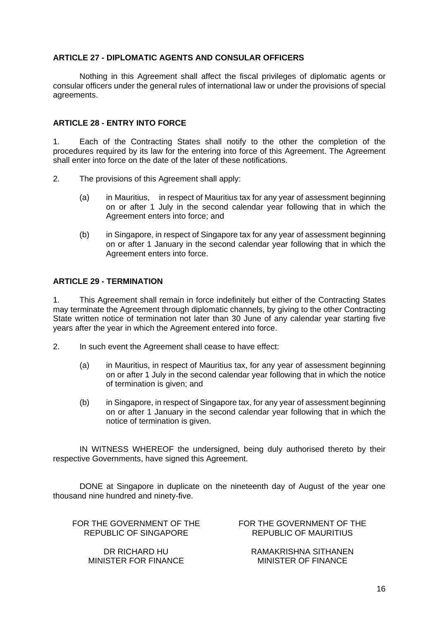#### **ARTICLE 27 - DIPLOMATIC AGENTS AND CONSULAR OFFICERS**

Nothing in this Agreement shall affect the fiscal privileges of diplomatic agents or consular officers under the general rules of international law or under the provisions of special agreements.

#### **ARTICLE 28 - ENTRY INTO FORCE**

1. Each of the Contracting States shall notify to the other the completion of the procedures required by its law for the entering into force of this Agreement. The Agreement shall enter into force on the date of the later of these notifications.

- 2. The provisions of this Agreement shall apply:
	- (a) in Mauritius, in respect of Mauritius tax for any year of assessment beginning on or after 1 July in the second calendar year following that in which the Agreement enters into force; and
	- (b) in Singapore, in respect of Singapore tax for any year of assessment beginning on or after 1 January in the second calendar year following that in which the Agreement enters into force.

#### **ARTICLE 29 - TERMINATION**

1. This Agreement shall remain in force indefinitely but either of the Contracting States may terminate the Agreement through diplomatic channels, by giving to the other Contracting State written notice of termination not later than 30 June of any calendar year starting five years after the year in which the Agreement entered into force.

- 2. In such event the Agreement shall cease to have effect:
	- (a) in Mauritius, in respect of Mauritius tax, for any year of assessment beginning on or after 1 July in the second calendar year following that in which the notice of termination is given; and
	- (b) in Singapore, in respect of Singapore tax, for any year of assessment beginning on or after 1 January in the second calendar year following that in which the notice of termination is given.

IN WITNESS WHEREOF the undersigned, being duly authorised thereto by their respective Governments, have signed this Agreement.

DONE at Singapore in duplicate on the nineteenth day of August of the year one thousand nine hundred and ninety-five.

FOR THE GOVERNMENT OF THE REPUBLIC OF SINGAPORE

> DR RICHARD HU MINISTER FOR FINANCE

FOR THE GOVERNMENT OF THE REPUBLIC OF MAURITIUS

> RAMAKRISHNA SITHANEN MINISTER OF FINANCE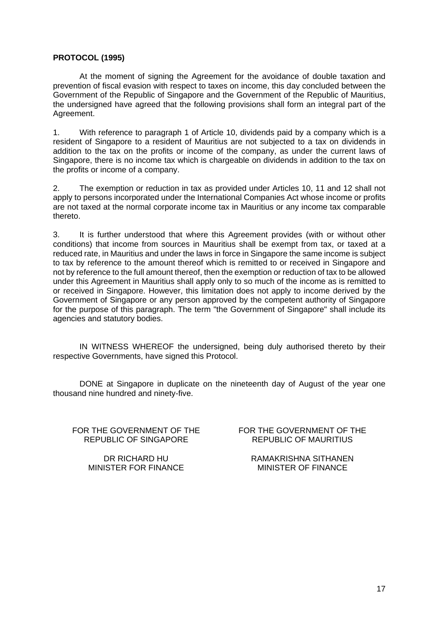#### **PROTOCOL (1995)**

At the moment of signing the Agreement for the avoidance of double taxation and prevention of fiscal evasion with respect to taxes on income, this day concluded between the Government of the Republic of Singapore and the Government of the Republic of Mauritius, the undersigned have agreed that the following provisions shall form an integral part of the Agreement.

1. With reference to paragraph 1 of Article 10, dividends paid by a company which is a resident of Singapore to a resident of Mauritius are not subjected to a tax on dividends in addition to the tax on the profits or income of the company, as under the current laws of Singapore, there is no income tax which is chargeable on dividends in addition to the tax on the profits or income of a company.

2. The exemption or reduction in tax as provided under Articles 10, 11 and 12 shall not apply to persons incorporated under the International Companies Act whose income or profits are not taxed at the normal corporate income tax in Mauritius or any income tax comparable thereto.

3. It is further understood that where this Agreement provides (with or without other conditions) that income from sources in Mauritius shall be exempt from tax, or taxed at a reduced rate, in Mauritius and under the laws in force in Singapore the same income is subject to tax by reference to the amount thereof which is remitted to or received in Singapore and not by reference to the full amount thereof, then the exemption or reduction of tax to be allowed under this Agreement in Mauritius shall apply only to so much of the income as is remitted to or received in Singapore. However, this limitation does not apply to income derived by the Government of Singapore or any person approved by the competent authority of Singapore for the purpose of this paragraph. The term "the Government of Singapore" shall include its agencies and statutory bodies.

IN WITNESS WHEREOF the undersigned, being duly authorised thereto by their respective Governments, have signed this Protocol.

DONE at Singapore in duplicate on the nineteenth day of August of the year one thousand nine hundred and ninety-five.

FOR THE GOVERNMENT OF THE REPUBLIC OF SINGAPORE

FOR THE GOVERNMENT OF THE REPUBLIC OF MAURITIUS

DR RICHARD HU MINISTER FOR FINANCE RAMAKRISHNA SITHANEN MINISTER OF FINANCE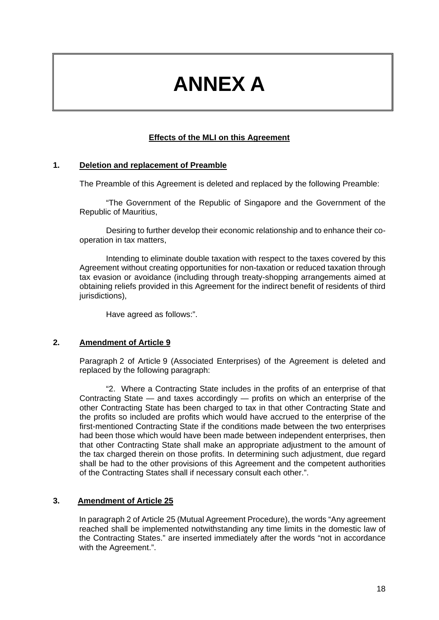# **ANNEX A**

# **Effects of the MLI on this Agreement**

#### **1. Deletion and replacement of Preamble**

The Preamble of this Agreement is deleted and replaced by the following Preamble:

"The Government of the Republic of Singapore and the Government of the Republic of Mauritius,

Desiring to further develop their economic relationship and to enhance their cooperation in tax matters,

Intending to eliminate double taxation with respect to the taxes covered by this Agreement without creating opportunities for non-taxation or reduced taxation through tax evasion or avoidance (including through treaty-shopping arrangements aimed at obtaining reliefs provided in this Agreement for the indirect benefit of residents of third jurisdictions),

Have agreed as follows:".

#### **2. Amendment of Article 9**

Paragraph 2 of Article 9 (Associated Enterprises) of the Agreement is deleted and replaced by the following paragraph:

"2. Where a Contracting State includes in the profits of an enterprise of that Contracting State — and taxes accordingly — profits on which an enterprise of the other Contracting State has been charged to tax in that other Contracting State and the profits so included are profits which would have accrued to the enterprise of the first-mentioned Contracting State if the conditions made between the two enterprises had been those which would have been made between independent enterprises, then that other Contracting State shall make an appropriate adjustment to the amount of the tax charged therein on those profits. In determining such adjustment, due regard shall be had to the other provisions of this Agreement and the competent authorities of the Contracting States shall if necessary consult each other.".

#### **3. Amendment of Article 25**

In paragraph 2 of Article 25 (Mutual Agreement Procedure), the words "Any agreement reached shall be implemented notwithstanding any time limits in the domestic law of the Contracting States." are inserted immediately after the words "not in accordance with the Agreement.".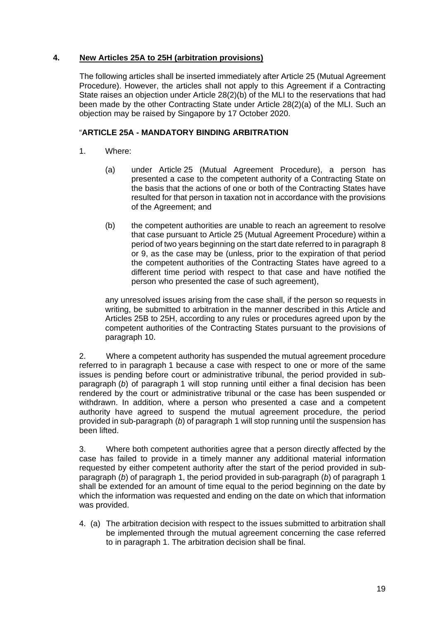## **4. New Articles 25A to 25H (arbitration provisions)**

The following articles shall be inserted immediately after Article 25 (Mutual Agreement Procedure). However, the articles shall not apply to this Agreement if a Contracting State raises an objection under Article 28(2)(b) of the MLI to the reservations that had been made by the other Contracting State under Article 28(2)(a) of the MLI. Such an objection may be raised by Singapore by 17 October 2020.

## "**ARTICLE 25A - MANDATORY BINDING ARBITRATION**

- 1. Where:
	- (a) under Article 25 (Mutual Agreement Procedure), a person has presented a case to the competent authority of a Contracting State on the basis that the actions of one or both of the Contracting States have resulted for that person in taxation not in accordance with the provisions of the Agreement; and
	- (b) the competent authorities are unable to reach an agreement to resolve that case pursuant to Article 25 (Mutual Agreement Procedure) within a period of two years beginning on the start date referred to in paragraph 8 or 9, as the case may be (unless, prior to the expiration of that period the competent authorities of the Contracting States have agreed to a different time period with respect to that case and have notified the person who presented the case of such agreement),

any unresolved issues arising from the case shall, if the person so requests in writing, be submitted to arbitration in the manner described in this Article and Articles 25B to 25H, according to any rules or procedures agreed upon by the competent authorities of the Contracting States pursuant to the provisions of paragraph 10.

2. Where a competent authority has suspended the mutual agreement procedure referred to in paragraph 1 because a case with respect to one or more of the same issues is pending before court or administrative tribunal, the period provided in subparagraph (*b*) of paragraph 1 will stop running until either a final decision has been rendered by the court or administrative tribunal or the case has been suspended or withdrawn. In addition, where a person who presented a case and a competent authority have agreed to suspend the mutual agreement procedure, the period provided in sub-paragraph (*b*) of paragraph 1 will stop running until the suspension has been lifted.

3. Where both competent authorities agree that a person directly affected by the case has failed to provide in a timely manner any additional material information requested by either competent authority after the start of the period provided in subparagraph (*b*) of paragraph 1, the period provided in sub-paragraph (*b*) of paragraph 1 shall be extended for an amount of time equal to the period beginning on the date by which the information was requested and ending on the date on which that information was provided.

4. (a) The arbitration decision with respect to the issues submitted to arbitration shall be implemented through the mutual agreement concerning the case referred to in paragraph 1. The arbitration decision shall be final.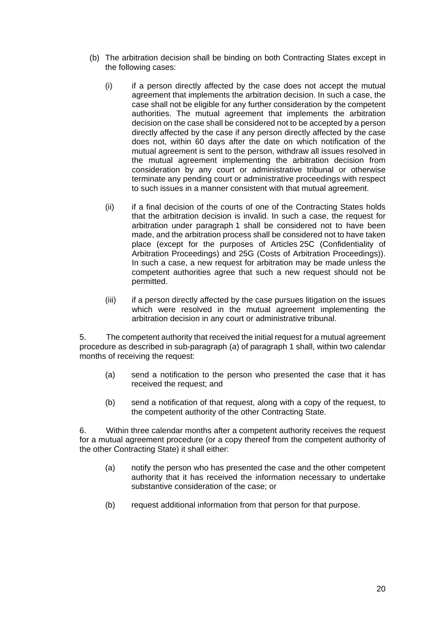- (b) The arbitration decision shall be binding on both Contracting States except in the following cases:
	- (i) if a person directly affected by the case does not accept the mutual agreement that implements the arbitration decision. In such a case, the case shall not be eligible for any further consideration by the competent authorities. The mutual agreement that implements the arbitration decision on the case shall be considered not to be accepted by a person directly affected by the case if any person directly affected by the case does not, within 60 days after the date on which notification of the mutual agreement is sent to the person, withdraw all issues resolved in the mutual agreement implementing the arbitration decision from consideration by any court or administrative tribunal or otherwise terminate any pending court or administrative proceedings with respect to such issues in a manner consistent with that mutual agreement.
	- (ii) if a final decision of the courts of one of the Contracting States holds that the arbitration decision is invalid. In such a case, the request for arbitration under paragraph 1 shall be considered not to have been made, and the arbitration process shall be considered not to have taken place (except for the purposes of Articles 25C (Confidentiality of Arbitration Proceedings) and 25G (Costs of Arbitration Proceedings)). In such a case, a new request for arbitration may be made unless the competent authorities agree that such a new request should not be permitted.
	- (iii) if a person directly affected by the case pursues litigation on the issues which were resolved in the mutual agreement implementing the arbitration decision in any court or administrative tribunal.

5. The competent authority that received the initial request for a mutual agreement procedure as described in sub-paragraph (*a*) of paragraph 1 shall, within two calendar months of receiving the request:

- (a) send a notification to the person who presented the case that it has received the request; and
- (b) send a notification of that request, along with a copy of the request, to the competent authority of the other Contracting State.

6. Within three calendar months after a competent authority receives the request for a mutual agreement procedure (or a copy thereof from the competent authority of the other Contracting State) it shall either:

- (a) notify the person who has presented the case and the other competent authority that it has received the information necessary to undertake substantive consideration of the case; or
- (b) request additional information from that person for that purpose.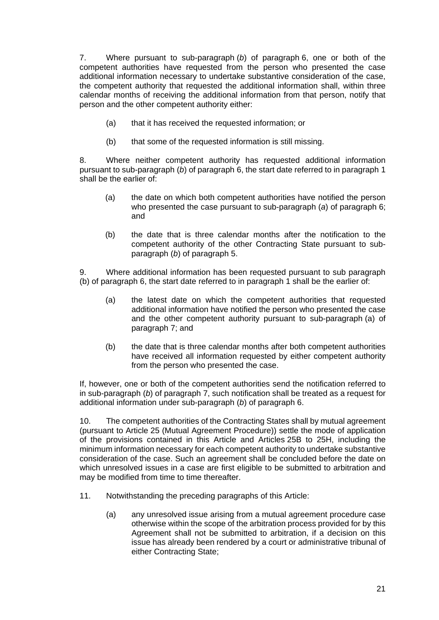7. Where pursuant to sub-paragraph (*b*) of paragraph 6, one or both of the competent authorities have requested from the person who presented the case additional information necessary to undertake substantive consideration of the case, the competent authority that requested the additional information shall, within three calendar months of receiving the additional information from that person, notify that person and the other competent authority either:

- (a) that it has received the requested information; or
- (b) that some of the requested information is still missing.

8. Where neither competent authority has requested additional information pursuant to sub-paragraph (*b*) of paragraph 6, the start date referred to in paragraph 1 shall be the earlier of:

- (a) the date on which both competent authorities have notified the person who presented the case pursuant to sub-paragraph (*a*) of paragraph 6; and
- (b) the date that is three calendar months after the notification to the competent authority of the other Contracting State pursuant to subparagraph (*b*) of paragraph 5.

9. Where additional information has been requested pursuant to sub paragraph (b) of paragraph 6, the start date referred to in paragraph 1 shall be the earlier of:

- (a) the latest date on which the competent authorities that requested additional information have notified the person who presented the case and the other competent authority pursuant to sub-paragraph (a) of paragraph 7; and
- (b) the date that is three calendar months after both competent authorities have received all information requested by either competent authority from the person who presented the case.

If, however, one or both of the competent authorities send the notification referred to in sub-paragraph (*b*) of paragraph 7, such notification shall be treated as a request for additional information under sub-paragraph (*b*) of paragraph 6.

10. The competent authorities of the Contracting States shall by mutual agreement (pursuant to Article 25 (Mutual Agreement Procedure)) settle the mode of application of the provisions contained in this Article and Articles 25B to 25H, including the minimum information necessary for each competent authority to undertake substantive consideration of the case. Such an agreement shall be concluded before the date on which unresolved issues in a case are first eligible to be submitted to arbitration and may be modified from time to time thereafter.

- 11. Notwithstanding the preceding paragraphs of this Article:
	- (a) any unresolved issue arising from a mutual agreement procedure case otherwise within the scope of the arbitration process provided for by this Agreement shall not be submitted to arbitration, if a decision on this issue has already been rendered by a court or administrative tribunal of either Contracting State;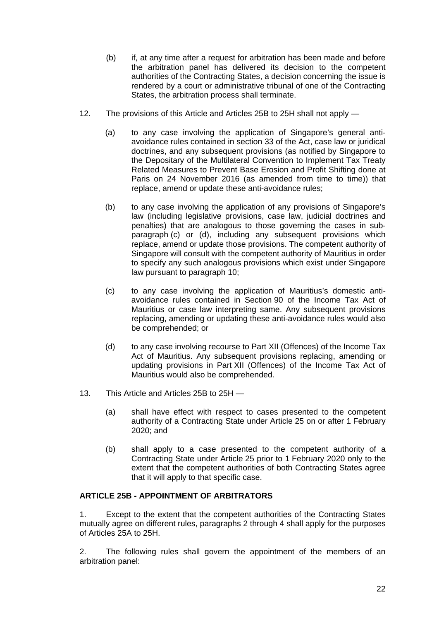- (b) if, at any time after a request for arbitration has been made and before the arbitration panel has delivered its decision to the competent authorities of the Contracting States, a decision concerning the issue is rendered by a court or administrative tribunal of one of the Contracting States, the arbitration process shall terminate.
- 12. The provisions of this Article and Articles 25B to 25H shall not apply
	- (a) to any case involving the application of Singapore's general antiavoidance rules contained in section 33 of the Act, case law or juridical doctrines, and any subsequent provisions (as notified by Singapore to the Depositary of the Multilateral Convention to Implement Tax Treaty Related Measures to Prevent Base Erosion and Profit Shifting done at Paris on 24 November 2016 (as amended from time to time)) that replace, amend or update these anti-avoidance rules;
	- (b) to any case involving the application of any provisions of Singapore's law (including legislative provisions, case law, judicial doctrines and penalties) that are analogous to those governing the cases in subparagraph (c) or (d), including any subsequent provisions which replace, amend or update those provisions. The competent authority of Singapore will consult with the competent authority of Mauritius in order to specify any such analogous provisions which exist under Singapore law pursuant to paragraph 10;
	- (c) to any case involving the application of Mauritius's domestic antiavoidance rules contained in Section 90 of the Income Tax Act of Mauritius or case law interpreting same. Any subsequent provisions replacing, amending or updating these anti-avoidance rules would also be comprehended; or
	- (d) to any case involving recourse to Part XII (Offences) of the Income Tax Act of Mauritius. Any subsequent provisions replacing, amending or updating provisions in Part XII (Offences) of the Income Tax Act of Mauritius would also be comprehended.
- 13. This Article and Articles 25B to 25H
	- (a) shall have effect with respect to cases presented to the competent authority of a Contracting State under Article 25 on or after 1 February 2020; and
	- (b) shall apply to a case presented to the competent authority of a Contracting State under Article 25 prior to 1 February 2020 only to the extent that the competent authorities of both Contracting States agree that it will apply to that specific case.

# **ARTICLE 25B - APPOINTMENT OF ARBITRATORS**

1. Except to the extent that the competent authorities of the Contracting States mutually agree on different rules, paragraphs 2 through 4 shall apply for the purposes of Articles 25A to 25H.

2. The following rules shall govern the appointment of the members of an arbitration panel: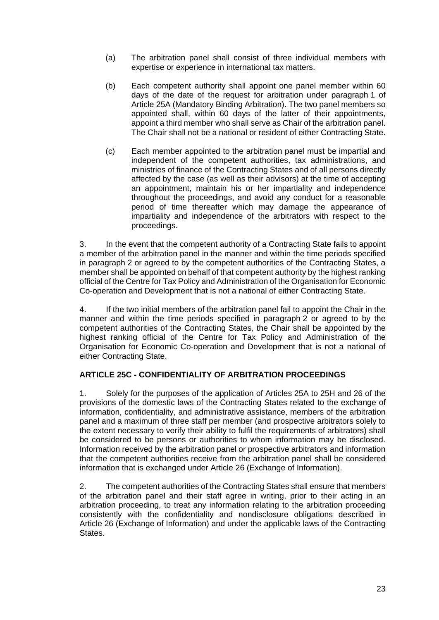- (a) The arbitration panel shall consist of three individual members with expertise or experience in international tax matters.
- (b) Each competent authority shall appoint one panel member within 60 days of the date of the request for arbitration under paragraph 1 of Article 25A (Mandatory Binding Arbitration). The two panel members so appointed shall, within 60 days of the latter of their appointments, appoint a third member who shall serve as Chair of the arbitration panel. The Chair shall not be a national or resident of either Contracting State.
- (c) Each member appointed to the arbitration panel must be impartial and independent of the competent authorities, tax administrations, and ministries of finance of the Contracting States and of all persons directly affected by the case (as well as their advisors) at the time of accepting an appointment, maintain his or her impartiality and independence throughout the proceedings, and avoid any conduct for a reasonable period of time thereafter which may damage the appearance of impartiality and independence of the arbitrators with respect to the proceedings.

3. In the event that the competent authority of a Contracting State fails to appoint a member of the arbitration panel in the manner and within the time periods specified in paragraph 2 or agreed to by the competent authorities of the Contracting States, a member shall be appointed on behalf of that competent authority by the highest ranking official of the Centre for Tax Policy and Administration of the Organisation for Economic Co-operation and Development that is not a national of either Contracting State.

4. If the two initial members of the arbitration panel fail to appoint the Chair in the manner and within the time periods specified in paragraph 2 or agreed to by the competent authorities of the Contracting States, the Chair shall be appointed by the highest ranking official of the Centre for Tax Policy and Administration of the Organisation for Economic Co-operation and Development that is not a national of either Contracting State.

## **ARTICLE 25C - CONFIDENTIALITY OF ARBITRATION PROCEEDINGS**

1. Solely for the purposes of the application of Articles 25A to 25H and 26 of the provisions of the domestic laws of the Contracting States related to the exchange of information, confidentiality, and administrative assistance, members of the arbitration panel and a maximum of three staff per member (and prospective arbitrators solely to the extent necessary to verify their ability to fulfil the requirements of arbitrators) shall be considered to be persons or authorities to whom information may be disclosed. Information received by the arbitration panel or prospective arbitrators and information that the competent authorities receive from the arbitration panel shall be considered information that is exchanged under Article 26 (Exchange of Information).

2. The competent authorities of the Contracting States shall ensure that members of the arbitration panel and their staff agree in writing, prior to their acting in an arbitration proceeding, to treat any information relating to the arbitration proceeding consistently with the confidentiality and nondisclosure obligations described in Article 26 (Exchange of Information) and under the applicable laws of the Contracting States.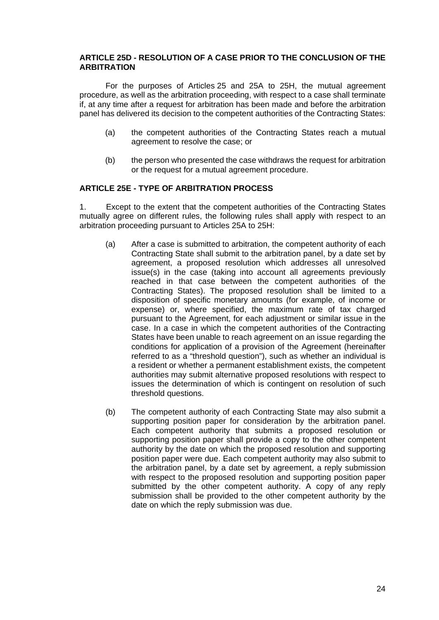#### **ARTICLE 25D - RESOLUTION OF A CASE PRIOR TO THE CONCLUSION OF THE ARBITRATION**

For the purposes of Articles 25 and 25A to 25H, the mutual agreement procedure, as well as the arbitration proceeding, with respect to a case shall terminate if, at any time after a request for arbitration has been made and before the arbitration panel has delivered its decision to the competent authorities of the Contracting States:

- (a) the competent authorities of the Contracting States reach a mutual agreement to resolve the case; or
- (b) the person who presented the case withdraws the request for arbitration or the request for a mutual agreement procedure.

#### **ARTICLE 25E - TYPE OF ARBITRATION PROCESS**

1. Except to the extent that the competent authorities of the Contracting States mutually agree on different rules, the following rules shall apply with respect to an arbitration proceeding pursuant to Articles 25A to 25H:

- (a) After a case is submitted to arbitration, the competent authority of each Contracting State shall submit to the arbitration panel, by a date set by agreement, a proposed resolution which addresses all unresolved issue(s) in the case (taking into account all agreements previously reached in that case between the competent authorities of the Contracting States). The proposed resolution shall be limited to a disposition of specific monetary amounts (for example, of income or expense) or, where specified, the maximum rate of tax charged pursuant to the Agreement, for each adjustment or similar issue in the case. In a case in which the competent authorities of the Contracting States have been unable to reach agreement on an issue regarding the conditions for application of a provision of the Agreement (hereinafter referred to as a "threshold question"), such as whether an individual is a resident or whether a permanent establishment exists, the competent authorities may submit alternative proposed resolutions with respect to issues the determination of which is contingent on resolution of such threshold questions.
- (b) The competent authority of each Contracting State may also submit a supporting position paper for consideration by the arbitration panel. Each competent authority that submits a proposed resolution or supporting position paper shall provide a copy to the other competent authority by the date on which the proposed resolution and supporting position paper were due. Each competent authority may also submit to the arbitration panel, by a date set by agreement, a reply submission with respect to the proposed resolution and supporting position paper submitted by the other competent authority. A copy of any reply submission shall be provided to the other competent authority by the date on which the reply submission was due.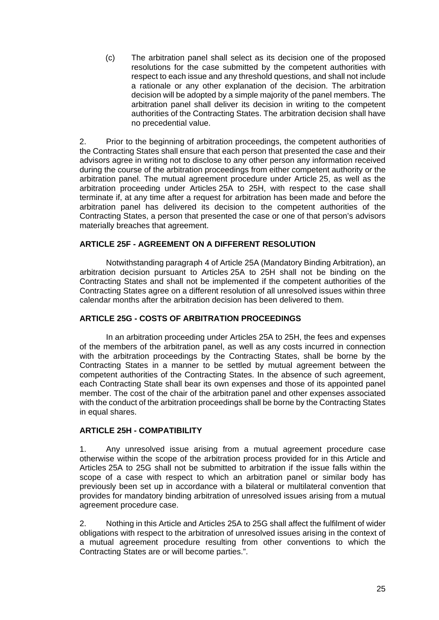(c) The arbitration panel shall select as its decision one of the proposed resolutions for the case submitted by the competent authorities with respect to each issue and any threshold questions, and shall not include a rationale or any other explanation of the decision. The arbitration decision will be adopted by a simple majority of the panel members. The arbitration panel shall deliver its decision in writing to the competent authorities of the Contracting States. The arbitration decision shall have no precedential value.

2. Prior to the beginning of arbitration proceedings, the competent authorities of the Contracting States shall ensure that each person that presented the case and their advisors agree in writing not to disclose to any other person any information received during the course of the arbitration proceedings from either competent authority or the arbitration panel. The mutual agreement procedure under Article 25, as well as the arbitration proceeding under Articles 25A to 25H, with respect to the case shall terminate if, at any time after a request for arbitration has been made and before the arbitration panel has delivered its decision to the competent authorities of the Contracting States, a person that presented the case or one of that person's advisors materially breaches that agreement.

## **ARTICLE 25F - AGREEMENT ON A DIFFERENT RESOLUTION**

Notwithstanding paragraph 4 of Article 25A (Mandatory Binding Arbitration), an arbitration decision pursuant to Articles 25A to 25H shall not be binding on the Contracting States and shall not be implemented if the competent authorities of the Contracting States agree on a different resolution of all unresolved issues within three calendar months after the arbitration decision has been delivered to them.

## **ARTICLE 25G - COSTS OF ARBITRATION PROCEEDINGS**

In an arbitration proceeding under Articles 25A to 25H, the fees and expenses of the members of the arbitration panel, as well as any costs incurred in connection with the arbitration proceedings by the Contracting States, shall be borne by the Contracting States in a manner to be settled by mutual agreement between the competent authorities of the Contracting States. In the absence of such agreement, each Contracting State shall bear its own expenses and those of its appointed panel member. The cost of the chair of the arbitration panel and other expenses associated with the conduct of the arbitration proceedings shall be borne by the Contracting States in equal shares.

#### **ARTICLE 25H - COMPATIBILITY**

1. Any unresolved issue arising from a mutual agreement procedure case otherwise within the scope of the arbitration process provided for in this Article and Articles 25A to 25G shall not be submitted to arbitration if the issue falls within the scope of a case with respect to which an arbitration panel or similar body has previously been set up in accordance with a bilateral or multilateral convention that provides for mandatory binding arbitration of unresolved issues arising from a mutual agreement procedure case.

2. Nothing in this Article and Articles 25A to 25G shall affect the fulfilment of wider obligations with respect to the arbitration of unresolved issues arising in the context of a mutual agreement procedure resulting from other conventions to which the Contracting States are or will become parties.".